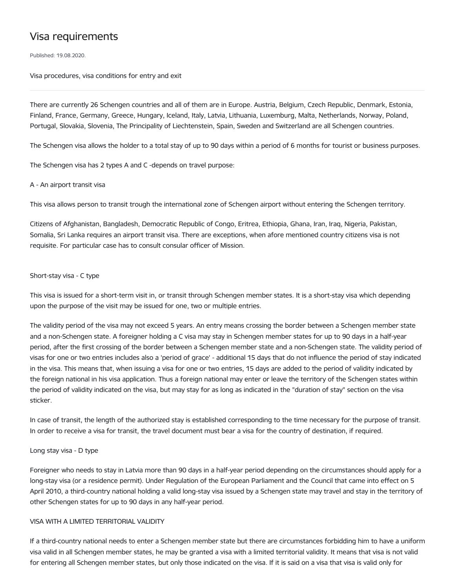# Visa requirements

Published: 19.08.2020.

Visa procedures, visa conditions for entry and exit

There are currently 26 Schengen countries and all of them are in Europe. Austria, Belgium, Czech Republic, Denmark, Estonia, Finland, France, Germany, Greece, Hungary, Iceland, Italy, Latvia, Lithuania, Luxemburg, Malta, Netherlands, Norway, Poland, Portugal, Slovakia, Slovenia, The Principality of Liechtenstein, Spain, Sweden and Switzerland are all Schengen countries.

The Schengen visa allows the holder to a total stay of up to 90 days within a period of 6 months for tourist or business purposes.

The Schengen visa has 2 types A and C -depends on travel purpose:

#### A - An airport transit visa

This visa allows person to transit trough the international zone of Schengen airport without entering the Schengen territory.

Citizens of Afghanistan, Bangladesh, Democratic Republic of Congo, Eritrea, Ethiopia, Ghana, Iran, Iraq, Nigeria, Pakistan, Somalia, Sri Lanka requires an airport transit visa. There are exceptions, when afore mentioned country citizens visa is not requisite. For particular case has to consult consular officer of Mission.

## Short-stay visa - C type

This visa is issued for a short-term visit in, or transit through Schengen member states. It is a short-stay visa which depending upon the purpose of the visit may be issued for one, two or multiple entries.

The validity period of the visa may not exceed 5 years. An entry means crossing the border between a Schengen member state and a non-Schengen state. A foreigner holding a C visa may stay in Schengen member states for up to 90 days in a half-year period, after the first crossing of the border between a Schengen member state and a non-Schengen state. The validity period of visas for one or two entries includes also a 'period of grace' - additional 15 days that do not influence the period of stay indicated in the visa. This means that, when issuing a visa for one or two entries, 15 days are added to the period of validity indicated by the foreign national in his visa application. Thus a foreign national may enter or leave the territory of the Schengen states within the period of validity indicated on the visa, but may stay for as long as indicated in the "duration of stay" section on the visa sticker.

In case of transit, the length of the authorized stay is established corresponding to the time necessary for the purpose of transit. In order to receive a visa for transit, the travel document must bear a visa for the country of destination, if required.

#### Long stay visa - D type

Foreigner who needs to stay in Latvia more than 90 days in a half-year period depending on the circumstances should apply for a long-stay visa (or a residence permit). Under Regulation of the European Parliament and the Council that came into effect on 5 April 2010, a third-country national holding a valid long-stay visa issued by a Schengen state may travel and stay in the territory of other Schengen states for up to 90 days in any half-year period.

#### VISA WITH A LIMITED TERRITORIAL VALIDITY

If a third-country national needs to enter a Schengen member state but there are circumstances forbidding him to have a uniform visa valid in all Schengen member states, he may be granted a visa with a limited territorial validity. It means that visa is not valid for entering all Schengen member states, but only those indicated on the visa. If it is said on a visa that visa is valid only for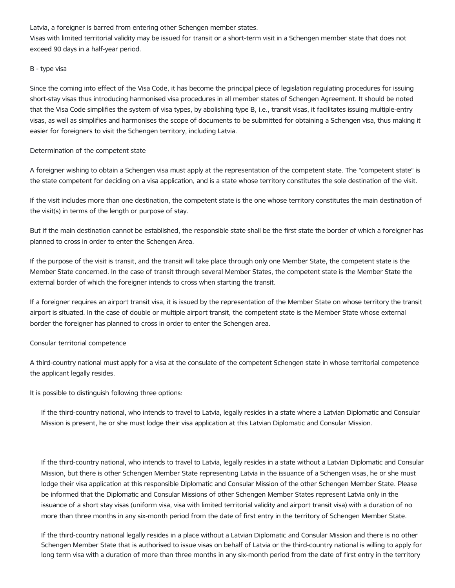Latvia, a foreigner is barred from entering other Schengen member states.

Visas with limited territorial validity may be issued for transit or a short-term visit in a Schengen member state that does not exceed 90 days in a half-year period.

# B - type visa

Since the coming into effect of the Visa Code, it has become the principal piece of legislation regulating procedures for issuing short-stay visas thus introducing harmonised visa procedures in all member states of Schengen Agreement. It should be noted that the Visa Code simplifies the system of visa types, by abolishing type B, i.e., transit visas, it facilitates issuing multiple-entry visas, as well as simplifies and harmonises the scope of documents to be submitted for obtaining a Schengen visa, thus making it easier for foreigners to visit the Schengen territory, including Latvia.

## Determination of the competent state

A foreigner wishing to obtain a Schengen visa must apply at the representation of the competent state. The "competent state" is the state competent for deciding on a visa application, and is a state whose territory constitutes the sole destination of the visit.

If the visit includes more than one destination, the competent state is the one whose territory constitutes the main destination of the visit(s) in terms of the length or purpose of stay.

But if the main destination cannot be established, the responsible state shall be the first state the border of which a foreigner has planned to cross in order to enter the Schengen Area.

If the purpose of the visit is transit, and the transit will take place through only one Member State, the competent state is the Member State concerned. In the case of transit through several Member States, the competent state is the Member State the external border of which the foreigner intends to cross when starting the transit.

If a foreigner requires an airport transit visa, it is issued by the representation of the Member State on whose territory the transit airport is situated. In the case of double or multiple airport transit, the competent state is the Member State whose external border the foreigner has planned to cross in order to enter the Schengen area.

# Consular territorial competence

A third-country national must apply for a visa at the consulate of the competent Schengen state in whose territorial competence the applicant legally resides.

It is possible to distinguish following three options:

If the third-country national, who intends to travel to Latvia, legally resides in a state where a Latvian Diplomatic and Consular Mission is present, he or she must lodge their visa application at this Latvian Diplomatic and Consular Mission.

If the third-country national, who intends to travel to Latvia, legally resides in a state without a Latvian Diplomatic and Consular Mission, but there is other Schengen Member State representing Latvia in the issuance of a Schengen visas, he or she must lodge their visa application at this responsible Diplomatic and Consular Mission of the other Schengen Member State. Please be informed that the Diplomatic and Consular Missions of other Schengen Member States represent Latvia only in the issuance of a short stay visas (uniform visa, visa with limited territorial validity and airport transit visa) with a duration of no more than three months in any six-month period from the date of first entry in the territory of Schengen Member State.

If the third-country national legally resides in a place without a Latvian Diplomatic and Consular Mission and there is no other Schengen Member State that is authorised to issue visas on behalf of Latvia or the third-country national is willing to apply for long term visa with a duration of more than three months in any six-month period from the date of first entry in the territory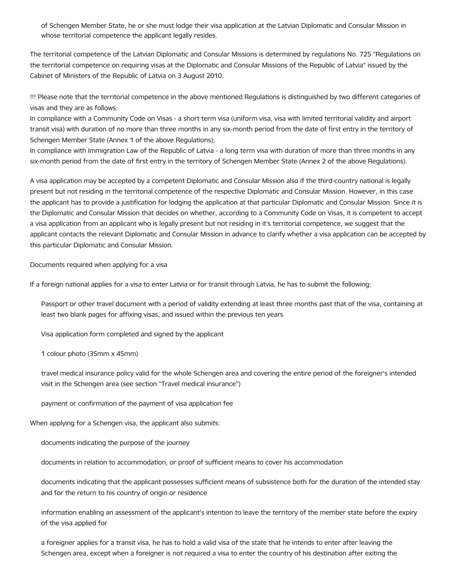of Schengen Member State, he or she must lodge their visa application at the Latvian Diplomatic and Consular Mission in whose territorial competence the applicant legally resides.

The territorial competence of the Latvian Diplomatic and Consular Missions is determined by regulations No. 725 "Regulations on the territorial competence on requiring visas at the Diplomatic and Consular Missions of the Republic of Latvia" issued by the Cabinet of Ministers of the Republic of Latvia on 3 August 2010.

!!! Please note that the territorial competence in the above mentioned Regulations is distinguished by two different categories of visas and they are as follows:

In compliance with a Community Code on Visas - a short term visa (uniform visa, visa with limited territorial validity and airport transit visa) with duration of no more than three months in any six-month period from the date of first entry in the territory of Schengen Member State (Annex 1 of the above Regulations);

In compliance with Immigration Law of the Republic of Latvia - a long term visa with duration of more than three months in any six-month period from the date of first entry in the territory of Schengen Member State (Annex 2 of the above Regulations).

A visa application may be accepted by a competent Diplomatic and Consular Mission also if the third-country national is legally present but not residing in the territorial competence of the respective Diplomatic and Consular Mission. However, in this case the applicant has to provide a justification for lodging the application at that particular Diplomatic and Consular Mission. Since it is the Diplomatic and Consular Mission that decides on whether, according to a Community Code on Visas, it is competent to accept a visa application from an applicant who is legally present but not residing in it's territorial competence, we suggest that the applicant contacts the relevant Diplomatic and Consular Mission in advance to clarify whether a visa application can be accepted by this particular Diplomatic and Consular Mission.

Documents required when applying for a visa

If a foreign national applies for a visa to enter Latvia or for transit through Latvia, he has to submit the following:

Passport or other travel document with a period of validity extending at least three months past that of the visa, containing at least two blank pages for affixing visas, and issued within the previous ten years

Visa application form completed and signed by the applicant

1 colour photo (35mm x 45mm)

travel medical insurance policy valid for the whole Schengen area and covering the entire period of the foreigner's intended visit in the Schengen area (see section "Travel medical insurance")

payment or confirmation of the payment of visa application fee

When applying for a Schengen visa, the applicant also submits:

documents indicating the purpose of the journey

documents in relation to accommodation, or proof of sufficient means to cover his accommodation

documents indicating that the applicant possesses sufficient means of subsistence both for the duration of the intended stay and for the return to his country of origin or residence

information enabling an assessment of the applicant's intention to leave the territory of the member state before the expiry of the visa applied for

a foreigner applies for a transit visa, he has to hold a valid visa of the state that he intends to enter after leaving the Schengen area, except when a foreigner is not required a visa to enter the country of his destination after exiting the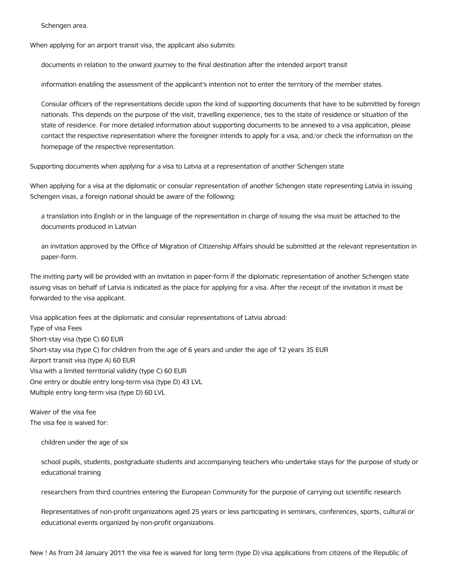Schengen area.

When applying for an airport transit visa, the applicant also submits:

documents in relation to the onward journey to the final destination after the intended airport transit

information enabling the assessment of the applicant's intention not to enter the territory of the member states.

Consular officers of the representations decide upon the kind of supporting documents that have to be submitted by foreign nationals. This depends on the purpose of the visit, travelling experience, ties to the state of residence or situation of the state of residence. For more detailed information about supporting documents to be annexed to a visa application, please contact the respective representation where the foreigner intends to apply for a visa, and/or check the information on the homepage of the respective representation.

Supporting documents when applying for a visa to Latvia at a representation of another Schengen state

When applying for a visa at the diplomatic or consular representation of another Schengen state representing Latvia in issuing Schengen visas, a foreign national should be aware of the following:

a translation into English or in the language of the representation in charge of issuing the visa must be attached to the documents produced in Latvian

an invitation approved by the Office of Migration of Citizenship Affairs should be submitted at the relevant representation in paper-form.

The inviting party will be provided with an invitation in paper-form if the diplomatic representation of another Schengen state issuing visas on behalf of Latvia is indicated as the place for applying for a visa. After the receipt of the invitation it must be forwarded to the visa applicant.

Visa application fees at the diplomatic and consular representations of Latvia abroad: Type of visa Fees Short-stay visa (type C) 60 EUR Short-stay visa (type C) for children from the age of 6 years and under the age of 12 years 35 EUR Airport transit visa (type A) 60 EUR Visa with a limited territorial validity (type C) 60 EUR One entry or double entry long-term visa (type D) 43 LVL Multiple entry long-term visa (type D) 60 LVL

Waiver of the visa fee The visa fee is waived for:

children under the age of six

school pupils, students, postgraduate students and accompanying teachers who undertake stays for the purpose of study or educational training

researchers from third countries entering the European Community for the purpose of carrying out scientific research

Representatives of non-profit organizations aged 25 years or less participating in seminars, conferences, sports, cultural or educational events organized by non-profit organizations.